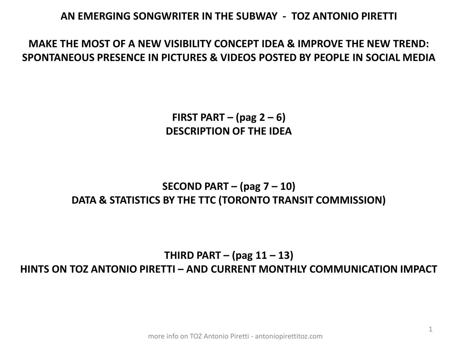#### **AN EMERGING SONGWRITER IN THE SUBWAY - TOZ ANTONIO PIRETTI**

**MAKE THE MOST OF A NEW VISIBILITY CONCEPT IDEA & IMPROVE THE NEW TREND: SPONTANEOUS PRESENCE IN PICTURES & VIDEOS POSTED BY PEOPLE IN SOCIAL MEDIA**

> **FIRST PART – (pag 2 – 6) DESCRIPTION OF THE IDEA**

# **SECOND PART – (pag 7 – 10) DATA & STATISTICS BY THE TTC (TORONTO TRANSIT COMMISSION)**

# **THIRD PART – (pag 11 – 13) HINTS ON TOZ ANTONIO PIRETTI – AND CURRENT MONTHLY COMMUNICATION IMPACT**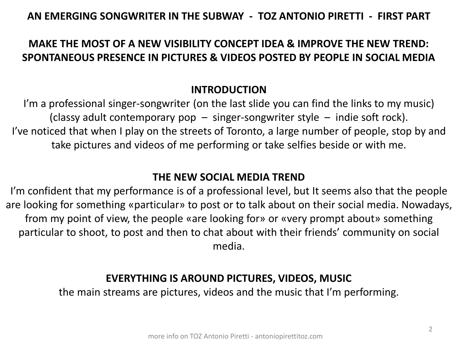# **MAKE THE MOST OF A NEW VISIBILITY CONCEPT IDEA & IMPROVE THE NEW TREND: SPONTANEOUS PRESENCE IN PICTURES & VIDEOS POSTED BY PEOPLE IN SOCIAL MEDIA**

# **INTRODUCTION**

I'm a professional singer-songwriter (on the last slide you can find the links to my music) (classy adult contemporary pop – singer-songwriter style – indie soft rock). I've noticed that when I play on the streets of Toronto, a large number of people, stop by and take pictures and videos of me performing or take selfies beside or with me.

# **THE NEW SOCIAL MEDIA TREND**

I'm confident that my performance is of a professional level, but It seems also that the people are looking for something «particular» to post or to talk about on their social media. Nowadays, from my point of view, the people «are looking for» or «very prompt about» something particular to shoot, to post and then to chat about with their friends' community on social media.

# **EVERYTHING IS AROUND PICTURES, VIDEOS, MUSIC**

the main streams are pictures, videos and the music that I'm performing.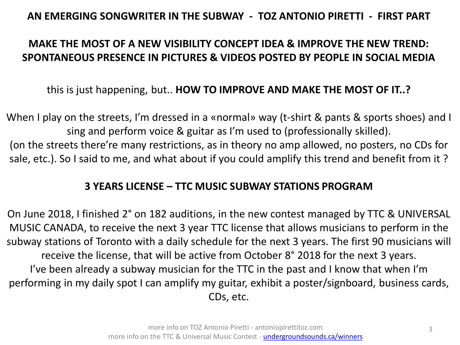# **MAKE THE MOST OF A NEW VISIBILITY CONCEPT IDEA & IMPROVE THE NEW TREND: SPONTANEOUS PRESENCE IN PICTURES & VIDEOS POSTED BY PEOPLE IN SOCIAL MEDIA**

this is just happening, but.. **HOW TO IMPROVE AND MAKE THE MOST OF IT..?**

When I play on the streets, I'm dressed in a «normal» way (t-shirt & pants & sports shoes) and I sing and perform voice & guitar as I'm used to (professionally skilled).

(on the streets there're many restrictions, as in theory no amp allowed, no posters, no CDs for sale, etc.). So I said to me, and what about if you could amplify this trend and benefit from it ?

# **3 YEARS LICENSE – TTC MUSIC SUBWAY STATIONS PROGRAM**

On June 2018, I finished 2° on 182 auditions, in the new contest managed by TTC & UNIVERSAL MUSIC CANADA, to receive the next 3 year TTC license that allows musicians to perform in the subway stations of Toronto with a daily schedule for the next 3 years. The first 90 musicians will receive the license, that will be active from October 8° 2018 for the next 3 years. I've been already a subway musician for the TTC in the past and I know that when I'm performing in my daily spot I can amplify my guitar, exhibit a poster/signboard, business cards, CDs, etc.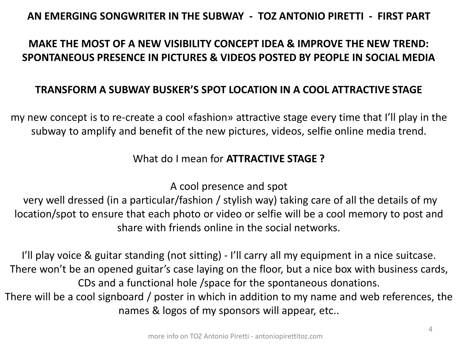# **MAKE THE MOST OF A NEW VISIBILITY CONCEPT IDEA & IMPROVE THE NEW TREND: SPONTANEOUS PRESENCE IN PICTURES & VIDEOS POSTED BY PEOPLE IN SOCIAL MEDIA**

# **TRANSFORM A SUBWAY BUSKER'S SPOT LOCATION IN A COOL ATTRACTIVE STAGE**

my new concept is to re-create a cool «fashion» attractive stage every time that I'll play in the subway to amplify and benefit of the new pictures, videos, selfie online media trend.

What do I mean for **ATTRACTIVE STAGE ?**

A cool presence and spot

very well dressed (in a particular/fashion / stylish way) taking care of all the details of my location/spot to ensure that each photo or video or selfie will be a cool memory to post and share with friends online in the social networks.

I'll play voice & guitar standing (not sitting) - I'll carry all my equipment in a nice suitcase. There won't be an opened guitar's case laying on the floor, but a nice box with business cards, CDs and a functional hole /space for the spontaneous donations. There will be a cool signboard / poster in which in addition to my name and web references, the names & logos of my sponsors will appear, etc..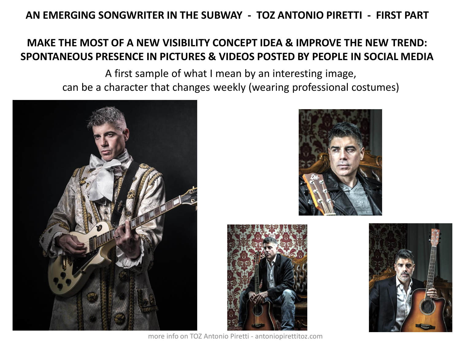# **MAKE THE MOST OF A NEW VISIBILITY CONCEPT IDEA & IMPROVE THE NEW TREND: SPONTANEOUS PRESENCE IN PICTURES & VIDEOS POSTED BY PEOPLE IN SOCIAL MEDIA**

A first sample of what I mean by an interesting image, can be a character that changes weekly (wearing professional costumes)









more info on TOZ Antonio Piretti - antoniopirettitoz.com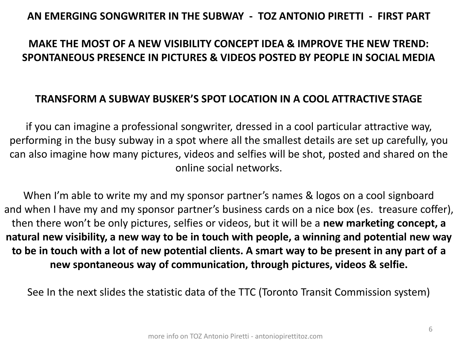# **MAKE THE MOST OF A NEW VISIBILITY CONCEPT IDEA & IMPROVE THE NEW TREND: SPONTANEOUS PRESENCE IN PICTURES & VIDEOS POSTED BY PEOPLE IN SOCIAL MEDIA**

# **TRANSFORM A SUBWAY BUSKER'S SPOT LOCATION IN A COOL ATTRACTIVE STAGE**

if you can imagine a professional songwriter, dressed in a cool particular attractive way, performing in the busy subway in a spot where all the smallest details are set up carefully, you can also imagine how many pictures, videos and selfies will be shot, posted and shared on the online social networks.

When I'm able to write my and my sponsor partner's names & logos on a cool signboard and when I have my and my sponsor partner's business cards on a nice box (es. treasure coffer), then there won't be only pictures, selfies or videos, but it will be a **new marketing concept, a natural new visibility, a new way to be in touch with people, a winning and potential new way to be in touch with a lot of new potential clients. A smart way to be present in any part of a new spontaneous way of communication, through pictures, videos & selfie.**

See In the next slides the statistic data of the TTC (Toronto Transit Commission system)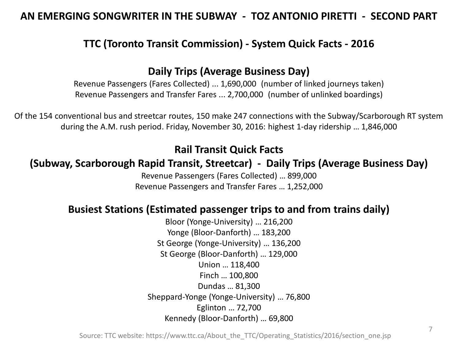## **TTC (Toronto Transit Commission) - System Quick Facts - 2016**

**Daily Trips (Average Business Day)**

Revenue Passengers (Fares Collected) ... 1,690,000 (number of linked journeys taken) Revenue Passengers and Transfer Fares ... 2,700,000 (number of unlinked boardings)

Of the 154 conventional bus and streetcar routes, 150 make 247 connections with the Subway/Scarborough RT system during the A.M. rush period. Friday, November 30, 2016: highest 1-day ridership … 1,846,000

#### **Rail Transit Quick Facts**

#### **(Subway, Scarborough Rapid Transit, Streetcar) - Daily Trips (Average Business Day)**

Revenue Passengers (Fares Collected) … 899,000 Revenue Passengers and Transfer Fares … 1,252,000

## **Busiest Stations (Estimated passenger trips to and from trains daily)**

Bloor (Yonge-University) … 216,200 Yonge (Bloor-Danforth) … 183,200 St George (Yonge-University) … 136,200 St George (Bloor-Danforth) … 129,000 Union … 118,400 Finch … 100,800 Dundas … 81,300 Sheppard-Yonge (Yonge-University) … 76,800 Eglinton … 72,700 Kennedy (Bloor-Danforth) … 69,800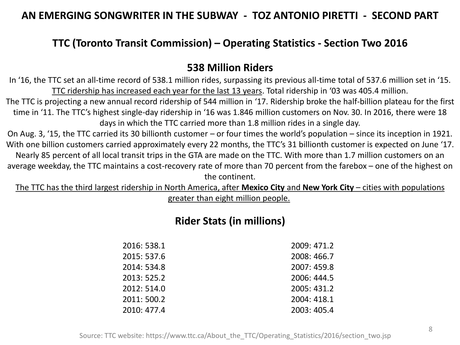# **TTC (Toronto Transit Commission) – Operating Statistics - Section Two 2016**

#### **538 Million Riders**

In '16, the TTC set an all-time record of 538.1 million rides, surpassing its previous all-time total of 537.6 million set in '15. TTC ridership has increased each year for the last 13 years. Total ridership in '03 was 405.4 million.

The TTC is projecting a new annual record ridership of 544 million in '17. Ridership broke the half-billion plateau for the first time in '11. The TTC's highest single-day ridership in '16 was 1.846 million customers on Nov. 30. In 2016, there were 18 days in which the TTC carried more than 1.8 million rides in a single day.

On Aug. 3, '15, the TTC carried its 30 billionth customer – or four times the world's population – since its inception in 1921. With one billion customers carried approximately every 22 months, the TTC's 31 billionth customer is expected on June '17.

Nearly 85 percent of all local transit trips in the GTA are made on the TTC. With more than 1.7 million customers on an average weekday, the TTC maintains a cost-recovery rate of more than 70 percent from the farebox – one of the highest on the continent.

The TTC has the third largest ridership in North America, after **Mexico City** and **New York City** – cities with populations greater than eight million people.

# **Rider Stats (in millions)**

| 2016: 538.1 | 2009: 471.2 |
|-------------|-------------|
| 2015: 537.6 | 2008: 466.7 |
| 2014: 534.8 | 2007: 459.8 |
| 2013: 525.2 | 2006: 444.5 |
| 2012: 514.0 | 2005: 431.2 |
| 2011: 500.2 | 2004: 418.1 |
| 2010: 477.4 | 2003: 405.4 |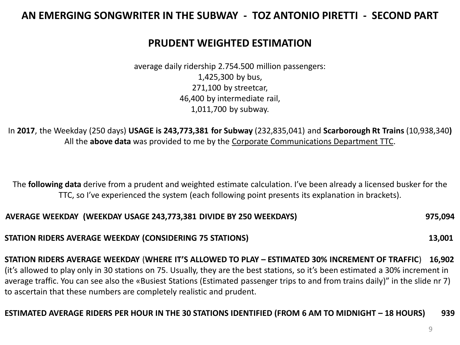# **PRUDENT WEIGHTED ESTIMATION**

average daily ridership 2.754.500 million passengers: 1,425,300 by bus, 271,100 by streetcar, 46,400 by intermediate rail, 1,011,700 by subway.

In **2017**, the Weekday (250 days) **USAGE is 243,773,381 for Subway** (232,835,041) and **Scarborough Rt Trains** (10,938,340**)** All the **above data** was provided to me by the Corporate Communications Department TTC.

The **following data** derive from a prudent and weighted estimate calculation. I've been already a licensed busker for the TTC, so I've experienced the system (each following point presents its explanation in brackets).

| AVERAGE WEEKDAY (WEEKDAY USAGE 243,773,381 DIVIDE BY 250 WEEKDAYS) | 975,094 |
|--------------------------------------------------------------------|---------|
| STATION RIDERS AVERAGE WEEKDAY (CONSIDERING 75 STATIONS)           | 13,001  |

**STATION RIDERS AVERAGE WEEKDAY** (**WHERE IT'S ALLOWED TO PLAY – ESTIMATED 30% INCREMENT OF TRAFFIC**) **16,902** (it's allowed to play only in 30 stations on 75. Usually, they are the best stations, so it's been estimated a 30% increment in average traffic. You can see also the «Busiest Stations (Estimated passenger trips to and from trains daily)" in the slide nr 7) to ascertain that these numbers are completely realistic and prudent.

#### **ESTIMATED AVERAGE RIDERS PER HOUR IN THE 30 STATIONS IDENTIFIED (FROM 6 AM TO MIDNIGHT – 18 HOURS) 939**

9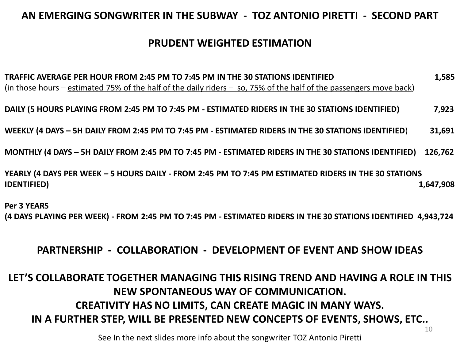# **PRUDENT WEIGHTED ESTIMATION**

| TRAFFIC AVERAGE PER HOUR FROM 2:45 PM TO 7:45 PM IN THE 30 STATIONS IDENTIFIED<br>(in those hours – estimated 75% of the half of the daily riders – so, 75% of the half of the passengers move back) | 1,585     |
|------------------------------------------------------------------------------------------------------------------------------------------------------------------------------------------------------|-----------|
| DAILY (5 HOURS PLAYING FROM 2:45 PM TO 7:45 PM - ESTIMATED RIDERS IN THE 30 STATIONS IDENTIFIED)                                                                                                     | 7,923     |
| WEEKLY (4 DAYS - 5H DAILY FROM 2:45 PM TO 7:45 PM - ESTIMATED RIDERS IN THE 30 STATIONS IDENTIFIED)                                                                                                  | 31,691    |
| MONTHLY (4 DAYS - 5H DAILY FROM 2:45 PM TO 7:45 PM - ESTIMATED RIDERS IN THE 30 STATIONS IDENTIFIED)                                                                                                 | 126,762   |
| YEARLY (4 DAYS PER WEEK - 5 HOURS DAILY - FROM 2:45 PM TO 7:45 PM ESTIMATED RIDERS IN THE 30 STATIONS<br><b>IDENTIFIED)</b>                                                                          | 1,647,908 |
| <b>Per 3 YEARS</b>                                                                                                                                                                                   |           |

**(4 DAYS PLAYING PER WEEK) - FROM 2:45 PM TO 7:45 PM - ESTIMATED RIDERS IN THE 30 STATIONS IDENTIFIED 4,943,724**

#### **PARTNERSHIP - COLLABORATION - DEVELOPMENT OF EVENT AND SHOW IDEAS**

# **LET'S COLLABORATE TOGETHER MANAGING THIS RISING TREND AND HAVING A ROLE IN THIS NEW SPONTANEOUS WAY OF COMMUNICATION. CREATIVITY HAS NO LIMITS, CAN CREATE MAGIC IN MANY WAYS. IN A FURTHER STEP, WILL BE PRESENTED NEW CONCEPTS OF EVENTS, SHOWS, ETC..**

See In the next slides more info about the songwriter TOZ Antonio Piretti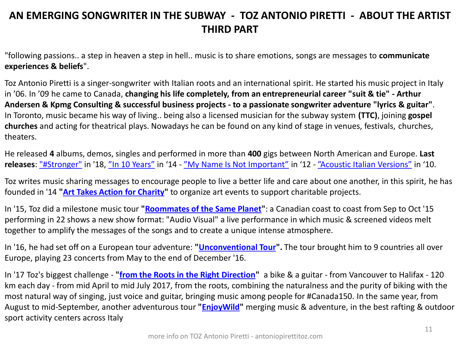# **AN EMERGING SONGWRITER IN THE SUBWAY - TOZ ANTONIO PIRETTI - ABOUT THE ARTIST THIRD PART**

"following passions.. a step in heaven a step in hell.. music is to share emotions, songs are messages to **communicate experiences & beliefs**".

Toz Antonio Piretti is a singer-songwriter with Italian roots and an international spirit. He started his music project in Italy in '06. In '09 he came to Canada, **changing his life completely, from an entrepreneurial career "suit & tie" - Arthur Andersen & Kpmg Consulting & successful business projects - to a passionate songwriter adventure "lyrics & guitar"**. In Toronto, music became his way of living.. being also a licensed musician for the subway system **(TTC)**, joining **gospel churches** and acting for theatrical plays. Nowadays he can be found on any kind of stage in venues, festivals, churches, theaters.

He released **4** albums, demos, singles and performed in more than **400** gigs between North American and Europe. **Last releases**: ["#Stronger"](https://www.antoniopirettitoz.com/shop) in '18, ["In 10 Years"](https://www.antoniopirettitoz.com/shop) in '14 - ["My Name Is Not Important"](https://www.antoniopirettitoz.com/shop) in '12 - ["Acoustic Italian Versions"](https://www.antoniopirettitoz.com/shop) in '10.

Toz writes music sharing messages to encourage people to live a better life and care about one another, in this spirit, he has founded in '14 **"[Art Takes Action for Charity](https://www.arttakesactionforcharity.com/)"** to organize art events to support charitable projects.

In '15, Toz did a milestone music tour **"[Roommates of the Same Planet](https://www.antoniopirettitoz.com/roommates-of-the-same-planet)"**: a Canadian coast to coast from Sep to Oct '15 performing in 22 shows a new show format: "Audio Visual" a live performance in which music & screened videos melt together to amplify the messages of the songs and to create a unique intense atmosphere.

In '16, he had set off on a European tour adventure: **["Unconventional Tour](https://www.antoniopirettitoz.com/unconventional-tour-europe)".** The tour brought him to 9 countries all over Europe, playing 23 concerts from May to the end of December '16.

In '17 Toz's biggest challenge - **"[from the Roots in the Right Direction](https://www.antoniopirettitoz.com/in-the-right-direction-tour)"** a bike & a guitar - from Vancouver to Halifax - 120 km each day - from mid April to mid July 2017, from the roots, combining the naturalness and the purity of biking with the most natural way of singing, just voice and guitar, bringing music among people for #Canada150. In the same year, from August to mid-September, another adventurous tour **["EnjoyWild](https://www.antoniopirettitoz.com/enjoywild-tour-italy)"** merging music & adventure, in the best rafting & outdoor sport activity centers across Italy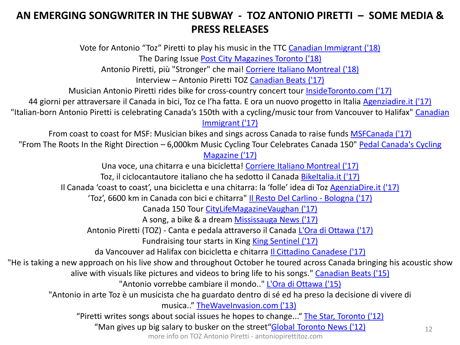# **AN EMERGING SONGWRITER IN THE SUBWAY - TOZ ANTONIO PIRETTI – SOME MEDIA & PRESS RELEASES**

Vote for Antonio "Toz" Piretti to play his music in the TTC [Canadian Immigrant](http://canadianimmigrant.ca/people/artists/vote-for-antonio-toz-piretti-to-play-his-music-in-the-ttc) [\('18\)](http://canadianimmigrant.ca/people/artists/vote-for-antonio-toz-piretti-to-play-his-music-in-the-ttc) The Daring Issue [Post City Magazines](http://www.postcity.com/Eat-Shop-Do/Do/February-2018/Daring-Series-The-biking-busker/) [Toronto \('18\)](http://www.postcity.com/Eat-Shop-Do/Do/February-2018/Daring-Series-The-biking-busker/)

Antonio Piretti, più "Stronger" che mai! [Corriere Italiano Montreal \('18\)](https://www.corriereitaliano.com/cultura/arte-e-spettacolo/2018/1/30/antonio-piretti--piu--stronger--che-mai-0.html)

Interview – Antonio Piretti TOZ [Canadian Beats](http://canadianbeats.ca/2017/09/17/interview-antonio-piretti-toz-2/) [\('17\)](http://canadianbeats.ca/2017/09/17/interview-antonio-piretti-toz-2/)

Musician Antonio Piretti rides bike for cross-country concert tour [InsideToronto.com \('17\)](https://www.insidetoronto.com/whatson-story/7468752-musician-antonio-piretti-rides-bike-for-cross-country-concert-tour/)

44 giorni per attraversare il Canada in bici, Toz ce l'ha fatta. E ora un nuovo progetto in Italia [Agenziadire.it \('17\)](http://www.dire.it/09-07-2017/132083-44-giorni-per-attraversare-il-canada-in-bici-toz-ce-lha-fatta-e-ora-un-nuovo-progetto-in-italia/)

"Italian-born Antonio Piretti is celebrating Canada's 150th with a cycling/music tour from Vancouver to Halifax" [Canadian](http://canadianimmigrant.ca/immigrant-stories/culture-immigrant-stories/italian-born-antonio-piretti-is-celebrating-canadas-150th-with-a-cyclingmusic-tour-from-vancouver-to-halifax) 

[Immigrant](http://canadianimmigrant.ca/immigrant-stories/culture-immigrant-stories/italian-born-antonio-piretti-is-celebrating-canadas-150th-with-a-cyclingmusic-tour-from-vancouver-to-halifax) [\('17\)](http://canadianimmigrant.ca/immigrant-stories/culture-immigrant-stories/italian-born-antonio-piretti-is-celebrating-canadas-150th-with-a-cyclingmusic-tour-from-vancouver-to-halifax)

From coast to coast for MSF: Musician bikes and sings across Canada to raise funds [MSFCanada](http://www.msf.ca/en/article/from-coast-to-coast-for-msf-musician-bikes-and-sings-across-canada-to-raise-funds) [\('17\)](http://www.msf.ca/en/article/from-coast-to-coast-for-msf-musician-bikes-and-sings-across-canada-to-raise-funds)

"From The Roots In the Right Direction – 6,000km Music Cycling Tour Celebrates Canada 150" [Pedal](http://pedalmag.com/from-the-roots-in-the-right-direction-tour-6000km-music-cycling-tour-celebrates-canada-150/) [Canada's](http://pedalmag.com/from-the-roots-in-the-right-direction-tour-6000km-music-cycling-tour-celebrates-canada-150/) [Cycling](http://pedalmag.com/from-the-roots-in-the-right-direction-tour-6000km-music-cycling-tour-celebrates-canada-150/)  [Magazine \('17\)](http://pedalmag.com/from-the-roots-in-the-right-direction-tour-6000km-music-cycling-tour-celebrates-canada-150/)

Una voce, una chitarra e una bicicletta! [Corriere Italiano Montreal \('17\)](http://www.corriereitaliano.com/attualita/in-primo-piano/2017/6/13/una-voce--una-chitarra-e-una-bicicletta-.html)

Toz, il ciclocantautore italiano che ha sedotto il Canada [BikeItalia.it \('17\)](http://www.bikeitalia.it/2017/07/03/toz-il-ciclocantautore-italiano-che-ha-sedotto-il-canada/)

Il Canada 'coast to coast', una bicicletta e una chitarra: la 'folle' idea di Toz [AgenziaDire.it \('17\)](http://www.dire.it/22-04-2017/117191-il-canada-coast-to-coast-una-bicicletta-e-una-chitarra-la-folle-idea-di-tozfoto/)

'Toz', 6600 km in Canada con bici e chitarra" [Il Resto Del Carlino -](http://www.ilrestodelcarlino.it/bologna/cultura/antonio-piretti-toz-canada-1.3057434) [Bologna \('17\)](http://www.ilrestodelcarlino.it/bologna/cultura/antonio-piretti-toz-canada-1.3057434)

Canada 150 Tour [CityLifeMagazineVaughan](http://mycitylife.ca/events/people-and-places/canada-150-tour/) [\('17\)](http://mycitylife.ca/events/people-and-places/canada-150-tour/)

A song, a bike & a dream [Mississauga News](https://www.mississauga.com/community-story/7293683-fusion-pofile-antonio-piretti/) [\('17\)](https://www.mississauga.com/community-story/7293683-fusion-pofile-antonio-piretti/)

Antonio Piretti (TOZ) - Canta e pedala attraverso il Canada [L'Ora di Ottawa \('17\)](https://docs.wixstatic.com/ugd/eebc14_a325364a60474f67b82b2ebb60574ea5.pdf)

Fundraising tour starts in King [King](http://kingsentinel.com/?p=8952) [Sentinel](http://kingsentinel.com/?p=8952) [\('17\)](http://kingsentinel.com/?p=8952)

da Vancouver ad Halifax con bicicletta e chitarra [Il Cittadino Canadese \('17\)](https://docs.wixstatic.com/ugd/eebc14_0b34c0e0edc94658891df8d9d2cedf85.pdf)

"He is taking a new approach on his live show and throughout October he toured across Canada bringing his acoustic show

alive with visuals like pictures and videos to bring life to his songs." [Canadian Beats](http://canadianbeats.ca/2015/10/31/interview-antonio-piretti-toz/) [\('15\)](http://canadianbeats.ca/2015/10/31/interview-antonio-piretti-toz/)

"Antonio vorrebbe cambiare il mondo.." [L'Ora di Ottawa \('15\)](https://docs.wixstatic.com/ugd/eebc14_04db10be96034ccc972344d80be2b237.pdf)

"Antonio in arte Toz è un musicista che ha guardato dentro di sé ed ha preso la decisione di vivere di musica.." [TheWaveInvasion.com \('13\)](https://docs.wixstatic.com/ugd/eebc14_affc4ddf6f2849fe8a7b77f2b015e20a.pdf)

"Piretti writes songs about social issues he hopes to change..." [The Star, Toronto \('12\)](https://www.thestar.com/news/gta/2012/07/18/busker_from_bologna_quits_sixfigure_salary_to_sing.html)

"Man gives up big salary to busker on the street" $G$ lobal [Toronto News \('12\)](https://www.youtube.com/watch?v=AhJew8o1JzA)  $12$